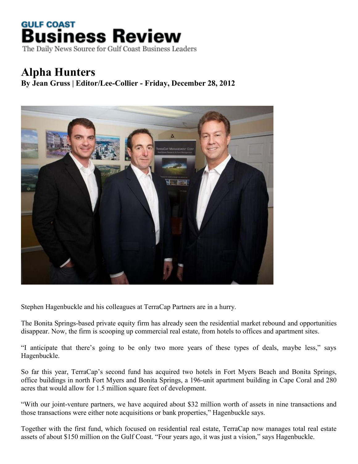## **GULF COAST Business Review**

The Daily News Source for Gulf Coast Business Leaders

## **Alpha Hunters**

**By Jean Gruss | Editor/Lee-Collier - Friday, December 28, 2012**



Stephen Hagenbuckle and his colleagues at TerraCap Partners are in a hurry.

The Bonita Springs-based private equity firm has already seen the residential market rebound and opportunities disappear. Now, the firm is scooping up commercial real estate, from hotels to offices and apartment sites.

"I anticipate that there's going to be only two more years of these types of deals, maybe less," says Hagenbuckle.

So far this year, TerraCap's second fund has acquired two hotels in Fort Myers Beach and Bonita Springs, office buildings in north Fort Myers and Bonita Springs, a 196-unit apartment building in Cape Coral and 280 acres that would allow for 1.5 million square feet of development.

"With our joint-venture partners, we have acquired about \$32 million worth of assets in nine transactions and those transactions were either note acquisitions or bank properties," Hagenbuckle says.

Together with the first fund, which focused on residential real estate, TerraCap now manages total real estate assets of about \$150 million on the Gulf Coast. "Four years ago, it was just a vision," says Hagenbuckle.